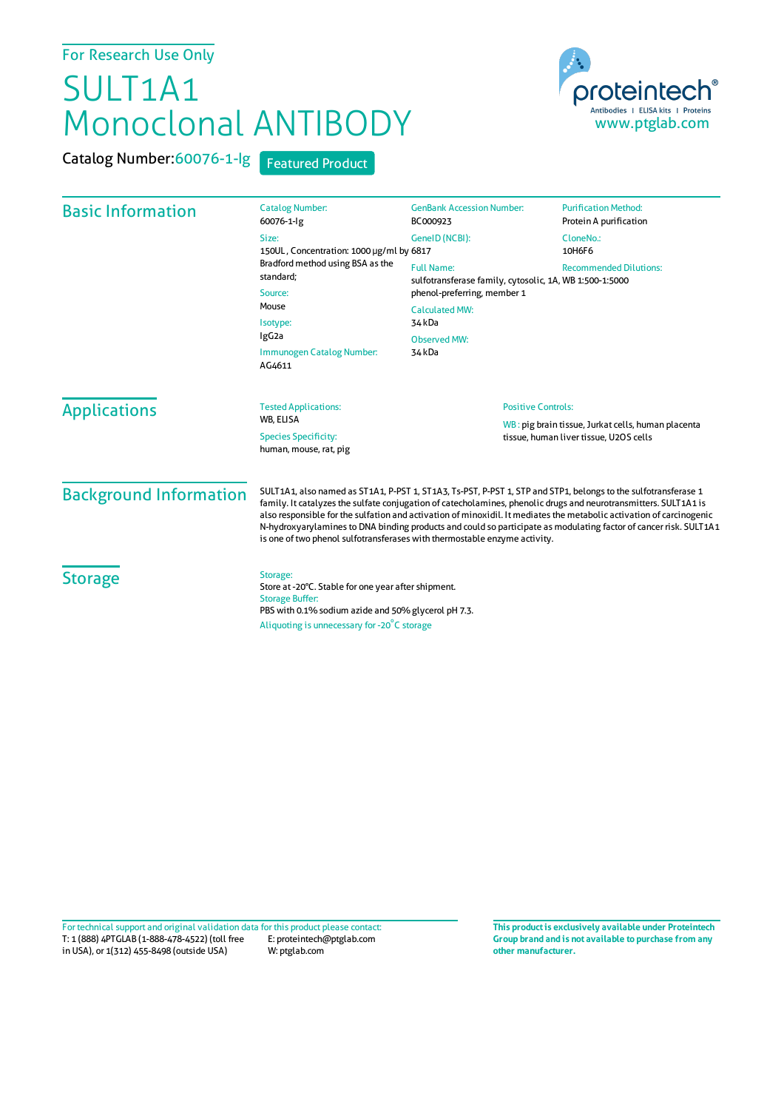## For Research Use Only

## SULT1A1 Monoclonal ANTIBODY

proteintech Antibodies | ELISA kits | Proteins<br>WWW.ptglab.com

Catalog Number:60076-1-lg Featured Product

| <b>Basic Information</b>      | <b>Catalog Number:</b><br>60076-1-lg                                                                                                                                                                                                                                                                                                                                                                                                                                                                                                                         | <b>GenBank Accession Number:</b><br>BC000923                                             | <b>Purification Method:</b><br>Protein A purification |                     |                                                       |                           |                                                                                              |
|-------------------------------|--------------------------------------------------------------------------------------------------------------------------------------------------------------------------------------------------------------------------------------------------------------------------------------------------------------------------------------------------------------------------------------------------------------------------------------------------------------------------------------------------------------------------------------------------------------|------------------------------------------------------------------------------------------|-------------------------------------------------------|---------------------|-------------------------------------------------------|---------------------------|----------------------------------------------------------------------------------------------|
|                               | Size:<br>150UL, Concentration: 1000 µg/ml by 6817<br>Bradford method using BSA as the<br>standard;<br>Source:<br>Mouse<br>Isotype:<br>IgG <sub>2a</sub><br>Immunogen Catalog Number:<br>AG4611                                                                                                                                                                                                                                                                                                                                                               | GeneID (NCBI):                                                                           | CloneNo.:<br>10H6F6                                   |                     |                                                       |                           |                                                                                              |
|                               |                                                                                                                                                                                                                                                                                                                                                                                                                                                                                                                                                              | <b>Full Name:</b><br>sulfotransferase family, cytosolic, 1A, WB 1:500-1:5000             | <b>Recommended Dilutions:</b>                         |                     |                                                       |                           |                                                                                              |
|                               |                                                                                                                                                                                                                                                                                                                                                                                                                                                                                                                                                              | phenol-preferring, member 1<br><b>Calculated MW:</b><br>34 kDa<br>Observed MW:<br>34 kDa |                                                       |                     |                                                       |                           |                                                                                              |
|                               |                                                                                                                                                                                                                                                                                                                                                                                                                                                                                                                                                              |                                                                                          |                                                       | <b>Applications</b> | <b>Tested Applications:</b><br><b>WB. ELISA</b>       | <b>Positive Controls:</b> |                                                                                              |
|                               |                                                                                                                                                                                                                                                                                                                                                                                                                                                                                                                                                              |                                                                                          |                                                       |                     | <b>Species Specificity:</b><br>human, mouse, rat, pig |                           | WB: pig brain tissue, Jurkat cells, human placenta<br>tissue, human liver tissue, U2OS cells |
| <b>Background Information</b> | SULT1A1, also named as ST1A1, P-PST 1, ST1A3, Ts-PST, P-PST 1, STP and STP1, belongs to the sulfotransferase 1<br>family. It catalyzes the sulfate conjugation of catecholamines, phenolic drugs and neurotransmitters. SULT1A1 is<br>also responsible for the sulfation and activation of minoxidil. It mediates the metabolic activation of carcinogenic<br>N-hydroxyarylamines to DNA binding products and could so participate as modulating factor of cancer risk. SULT1A1<br>is one of two phenol sulfotransferases with thermostable enzyme activity. |                                                                                          |                                                       |                     |                                                       |                           |                                                                                              |
| <b>Storage</b>                | Storage:<br>Store at -20°C. Stable for one year after shipment.<br><b>Storage Buffer:</b><br>PBS with 0.1% sodium azide and 50% glycerol pH 7.3.<br>Aliquoting is unnecessary for -20 <sup>°</sup> C storage                                                                                                                                                                                                                                                                                                                                                 |                                                                                          |                                                       |                     |                                                       |                           |                                                                                              |

T: 1 (888) 4PTGLAB (1-888-478-4522) (toll free E: proteintech@ptglab.com in USA), or 1(312) 455-8498 (outside USA) W: ptglab.com Fortechnical support and original validation data forthis product please contact: **This productis exclusively available under Proteintech**

**Group brand and is not available to purchase from any other manufacturer.**